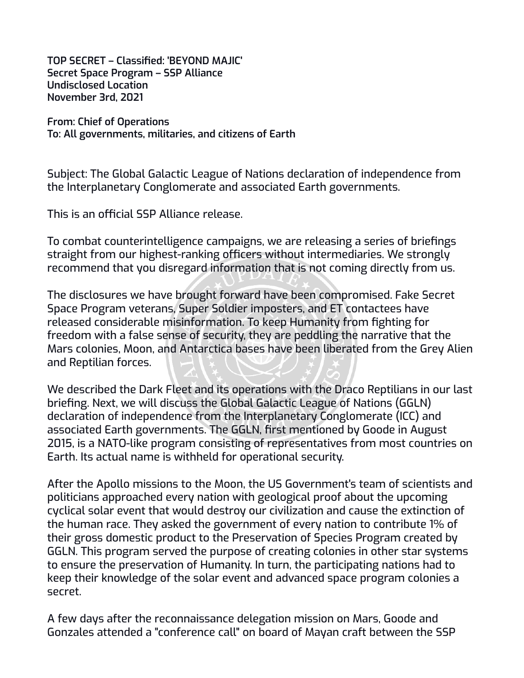**TOP SECRET – Classified: 'BEYOND MAJIC' Secret Space Program – SSP Alliance Undisclosed Location November 3rd, 2021**

**From: Chief of Operations To: All governments, militaries, and citizens of Earth**

Subject: The Global Galactic League of Nations declaration of independence from the Interplanetary Conglomerate and associated Earth governments.

This is an official SSP Alliance release.

To combat counterintelligence campaigns, we are releasing a series of briefings straight from our highest-ranking officers without intermediaries. We strongly recommend that you disregard information that is not coming directly from us.

The disclosures we have brought forward have been compromised. Fake Secret Space Program veterans, Super Soldier imposters, and ET contactees have released considerable misinformation. To keep Humanity from fighting for freedom with a false sense of security, they are peddling the narrative that the Mars colonies, Moon, and Antarctica bases have been liberated from the Grey Alien and Reptilian forces.

We described the Dark Fleet and its operations with the Draco Reptilians in our last briefing. Next, we will discuss the Global Galactic League of Nations (GGLN) declaration of independence from the Interplanetary Conglomerate (ICC) and associated Earth governments. The GGLN, first mentioned by Goode in August 2015, is a NATO-like program consisting of representatives from most countries on Earth. Its actual name is withheld for operational security.

After the Apollo missions to the Moon, the US Government's team of scientists and politicians approached every nation with geological proof about the upcoming cyclical solar event that would destroy our civilization and cause the extinction of the human race. They asked the government of every nation to contribute 1% of their gross domestic product to the Preservation of Species Program created by GGLN. This program served the purpose of creating colonies in other star systems to ensure the preservation of Humanity. In turn, the participating nations had to keep their knowledge of the solar event and advanced space program colonies a secret.

A few days after the reconnaissance delegation mission on Mars, Goode and Gonzales attended a "conference call" on board of Mayan craft between the SSP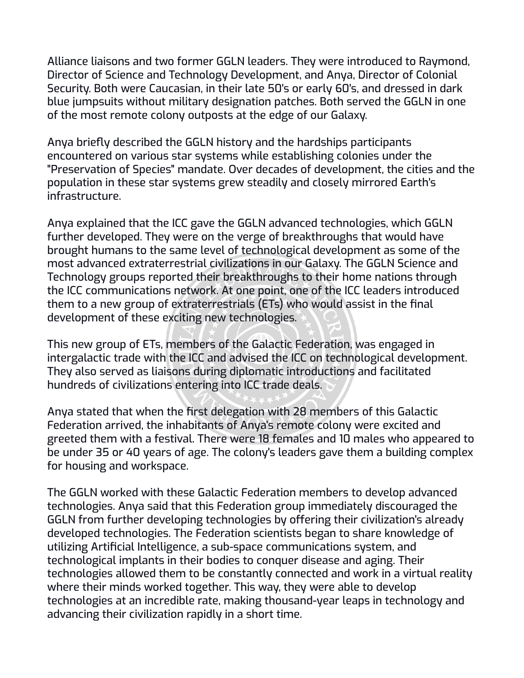Alliance liaisons and two former GGLN leaders. They were introduced to Raymond, Director of Science and Technology Development, and Anya, Director of Colonial Security. Both were Caucasian, in their late 50's or early 60's, and dressed in dark blue jumpsuits without military designation patches. Both served the GGLN in one of the most remote colony outposts at the edge of our Galaxy.

Anya briefly described the GGLN history and the hardships participants encountered on various star systems while establishing colonies under the "Preservation of Species" mandate. Over decades of development, the cities and the population in these star systems grew steadily and closely mirrored Earth's infrastructure.

Anya explained that the ICC gave the GGLN advanced technologies, which GGLN further developed. They were on the verge of breakthroughs that would have brought humans to the same level of technological development as some of the most advanced extraterrestrial civilizations in our Galaxy. The GGLN Science and Technology groups reported their breakthroughs to their home nations through the ICC communications network. At one point, one of the ICC leaders introduced them to a new group of extraterrestrials (ETs) who would assist in the final development of these exciting new technologies.

This new group of ETs, members of the Galactic Federation, was engaged in intergalactic trade with the ICC and advised the ICC on technological development. They also served as liaisons during diplomatic introductions and facilitated hundreds of civilizations entering into ICC trade deals.

Anya stated that when the first delegation with 28 members of this Galactic Federation arrived, the inhabitants of Anya's remote colony were excited and greeted them with a festival. There were 18 females and 10 males who appeared to be under 35 or 40 years of age. The colony's leaders gave them a building complex for housing and workspace.

The GGLN worked with these Galactic Federation members to develop advanced technologies. Anya said that this Federation group immediately discouraged the GGLN from further developing technologies by offering their civilization's already developed technologies. The Federation scientists began to share knowledge of utilizing Artificial Intelligence, a sub-space communications system, and technological implants in their bodies to conquer disease and aging. Their technologies allowed them to be constantly connected and work in a virtual reality where their minds worked together. This way, they were able to develop technologies at an incredible rate, making thousand-year leaps in technology and advancing their civilization rapidly in a short time.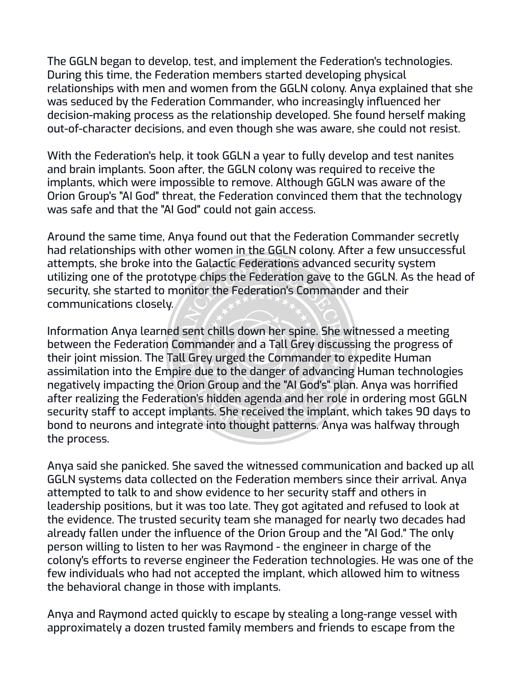The GGLN began to develop, test, and implement the Federation's technologies. During this time, the Federation members started developing physical relationships with men and women from the GGLN colony. Anya explained that she was seduced by the Federation Commander, who increasingly influenced her decision-making process as the relationship developed. She found herself making out-of-character decisions, and even though she was aware, she could not resist.

With the Federation's help, it took GGLN a year to fully develop and test nanites and brain implants. Soon after, the GGLN colony was required to receive the implants, which were impossible to remove. Although GGLN was aware of the Orion Group's "AI God" threat, the Federation convinced them that the technology was safe and that the "AI God" could not gain access.

Around the same time, Anya found out that the Federation Commander secretly had relationships with other women in the GGLN colony. After a few unsuccessful attempts, she broke into the Galactic Federations advanced security system utilizing one of the prototype chips the Federation gave to the GGLN. As the head of security, she started to monitor the Federation's Commander and their communications closely.

Information Anya learned sent chills down her spine. She witnessed a meeting between the Federation Commander and a Tall Grey discussing the progress of their joint mission. The Tall Grey urged the Commander to expedite Human assimilation into the Empire due to the danger of advancing Human technologies negatively impacting the Orion Group and the "AI God's" plan. Anya was horrified after realizing the Federation's hidden agenda and her role in ordering most GGLN security staff to accept implants. She received the implant, which takes 90 days to bond to neurons and integrate into thought patterns. Anya was halfway through the process.

Anya said she panicked. She saved the witnessed communication and backed up all GGLN systems data collected on the Federation members since their arrival. Anya attempted to talk to and show evidence to her security staff and others in leadership positions, but it was too late. They got agitated and refused to look at the evidence. The trusted security team she managed for nearly two decades had already fallen under the influence of the Orion Group and the "AI God." The only person willing to listen to her was Raymond - the engineer in charge of the colony's efforts to reverse engineer the Federation technologies. He was one of the few individuals who had not accepted the implant, which allowed him to witness the behavioral change in those with implants.

Anya and Raymond acted quickly to escape by stealing a long-range vessel with approximately a dozen trusted family members and friends to escape from the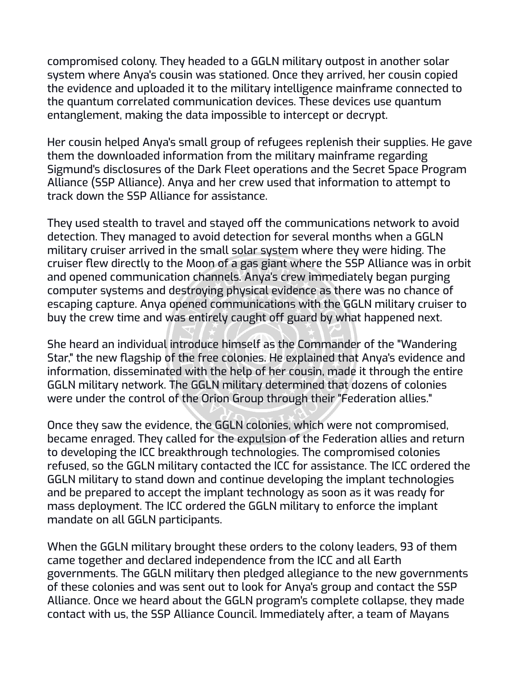compromised colony. They headed to a GGLN military outpost in another solar system where Anya's cousin was stationed. Once they arrived, her cousin copied the evidence and uploaded it to the military intelligence mainframe connected to the quantum correlated communication devices. These devices use quantum entanglement, making the data impossible to intercept or decrypt.

Her cousin helped Anya's small group of refugees replenish their supplies. He gave them the downloaded information from the military mainframe regarding Sigmund's disclosures of the Dark Fleet operations and the Secret Space Program Alliance (SSP Alliance). Anya and her crew used that information to attempt to track down the SSP Alliance for assistance.

They used stealth to travel and stayed off the communications network to avoid detection. They managed to avoid detection for several months when a GGLN military cruiser arrived in the small solar system where they were hiding. The cruiser flew directly to the Moon of a gas giant where the SSP Alliance was in orbit and opened communication channels. Anya's crew immediately began purging computer systems and destroying physical evidence as there was no chance of escaping capture. Anya opened communications with the GGLN military cruiser to buy the crew time and was entirely caught off guard by what happened next.

She heard an individual introduce himself as the Commander of the "Wandering Star," the new flagship of the free colonies. He explained that Anya's evidence and information, disseminated with the help of her cousin, made it through the entire GGLN military network. The GGLN military determined that dozens of colonies were under the control of the Orion Group through their "Federation allies."

Once they saw the evidence, the GGLN colonies, which were not compromised, became enraged. They called for the expulsion of the Federation allies and return to developing the ICC breakthrough technologies. The compromised colonies refused, so the GGLN military contacted the ICC for assistance. The ICC ordered the GGLN military to stand down and continue developing the implant technologies and be prepared to accept the implant technology as soon as it was ready for mass deployment. The ICC ordered the GGLN military to enforce the implant mandate on all GGLN participants.

When the GGLN military brought these orders to the colony leaders, 93 of them came together and declared independence from the ICC and all Earth governments. The GGLN military then pledged allegiance to the new governments of these colonies and was sent out to look for Anya's group and contact the SSP Alliance. Once we heard about the GGLN program's complete collapse, they made contact with us, the SSP Alliance Council. Immediately after, a team of Mayans